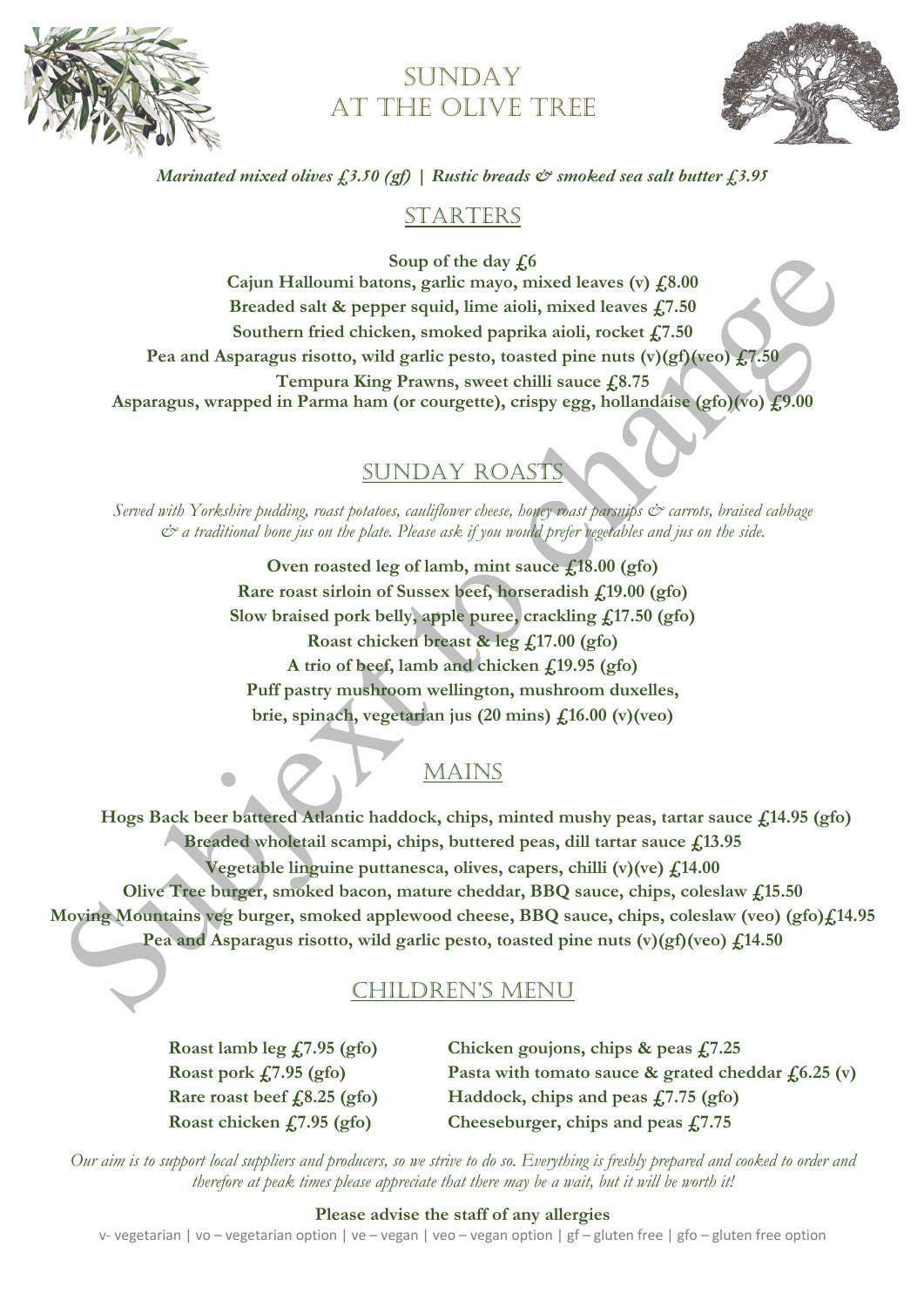

# SUNDAY AT THE OLIVE TREE



### *Marinated mixed olives £3.50 (gf) | Rustic breads & smoked sea salt butter £3.95*

## STARTERS

**Soup of the day £6 Cajun Halloumi batons, garlic mayo, mixed leaves (v) £8.00 Breaded salt & pepper squid, lime aioli, mixed leaves £7.50 Southern fried chicken, smoked paprika aioli, rocket £7.50 Pea and Asparagus risotto, wild garlic pesto, toasted pine nuts (v)(gf)(veo) £7.50 Tempura King Prawns, sweet chilli sauce £8.75 Asparagus, wrapped in Parma ham (or courgette), crispy egg, hollandaise (gfo)(vo) £9.00**

## SUNDAY ROAST

*Served with Yorkshire pudding, roast potatoes, cauliflower cheese, honey roast parsnips & carrots, braised cabbage & a traditional bone jus on the plate. Please ask if you would prefer vegetables and jus on the side.*

> **Oven roasted leg of lamb, mint sauce £18.00 (gfo) Rare roast sirloin of Sussex beef, horseradish £19.00 (gfo) Slow braised pork belly, apple puree, crackling £17.50 (gfo) Roast chicken breast & leg £17.00 (gfo) A trio of beef, lamb and chicken £19.95 (gfo) Puff pastry mushroom wellington, mushroom duxelles, brie, spinach, vegetarian jus (20 mins) £16.00 (v)(veo)**

> > MAINS

 **Hogs Back beer battered Atlantic haddock, chips, minted mushy peas, tartar sauce £14.95 (gfo) Breaded wholetail scampi, chips, buttered peas, dill tartar sauce £13.95 Vegetable linguine puttanesca, olives, capers, chilli (v)(ve) £14.00 Olive Tree burger, smoked bacon, mature cheddar, BBQ sauce, chips, coleslaw £15.50 Moving Mountains veg burger, smoked applewood cheese, BBQ sauce, chips, coleslaw (veo) (gfo)£14.95 Pea and Asparagus risotto, wild garlic pesto, toasted pine nuts (v)(gf)(veo) £14.50**

## CHILDREN'S MENU

**Roast lamb leg £7.95 (gfo) Chicken goujons, chips & peas £7.25 Roast pork £7.95 (gfo) Pasta with tomato sauce & grated cheddar £6.25 (v) Rare roast beef £8.25 (gfo) Haddock, chips and peas £7.75 (gfo) Roast chicken £7.95 (gfo) Cheeseburger, chips and peas £7.75**

*Our aim is to support local suppliers and producers, so we strive to do so. Everything is freshly prepared and cooked to order and therefore at peak times please appreciate that there may be a wait, but it will be worth it!*

#### **Please advise the staff of any allergies**

v- vegetarian | vo – vegetarian option | ve – vegan | veo – vegan option | gf – gluten free | gfo – gluten free option